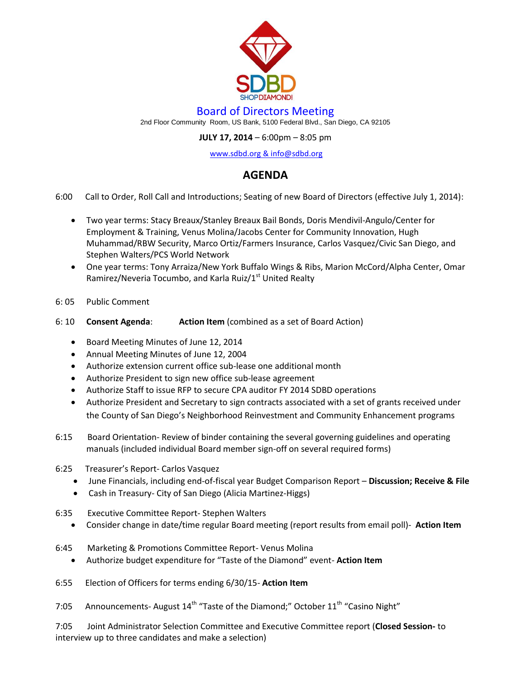

## Board of Directors Meeting

2nd Floor Community Room, US Bank, 5100 Federal Blvd., San Diego, CA 92105

## **JULY 17, 2014** – 6:00pm – 8:05 pm

[www.sdbd.org](http://www.sdbd.org/) & info@sdbd.org

## **AGENDA**

- 6:00 Call to Order, Roll Call and Introductions; Seating of new Board of Directors (effective July 1, 2014):
	- Two year terms: Stacy Breaux/Stanley Breaux Bail Bonds, Doris Mendivil-Angulo/Center for Employment & Training, Venus Molina/Jacobs Center for Community Innovation, Hugh Muhammad/RBW Security, Marco Ortiz/Farmers Insurance, Carlos Vasquez/Civic San Diego, and Stephen Walters/PCS World Network
	- One year terms: Tony Arraiza/New York Buffalo Wings & Ribs, Marion McCord/Alpha Center, Omar Ramirez/Neveria Tocumbo, and Karla Ruiz/1<sup>st</sup> United Realty
- 6: 05 Public Comment
- 6: 10 **Consent Agenda**: **Action Item** (combined as a set of Board Action)
	- Board Meeting Minutes of June 12, 2014
	- Annual Meeting Minutes of June 12, 2004
	- Authorize extension current office sub-lease one additional month
	- Authorize President to sign new office sub-lease agreement
	- Authorize Staff to issue RFP to secure CPA auditor FY 2014 SDBD operations
	- Authorize President and Secretary to sign contracts associated with a set of grants received under the County of San Diego's Neighborhood Reinvestment and Community Enhancement programs
- 6:15 Board Orientation- Review of binder containing the several governing guidelines and operating manuals (included individual Board member sign-off on several required forms)
- 6:25 Treasurer's Report- Carlos Vasquez
	- June Financials, including end-of-fiscal year Budget Comparison Report **Discussion; Receive & File**
	- Cash in Treasury- City of San Diego (Alicia Martinez-Higgs)
- 6:35 Executive Committee Report- Stephen Walters
	- Consider change in date/time regular Board meeting (report results from email poll)- **Action Item**
- 6:45 Marketing & Promotions Committee Report- Venus Molina
	- Authorize budget expenditure for "Taste of the Diamond" event- **Action Item**
- 6:55 Election of Officers for terms ending 6/30/15- **Action Item**
- 7:05 Announcements- August  $14<sup>th</sup>$  "Taste of the Diamond;" October  $11<sup>th</sup>$  "Casino Night"

7:05 Joint Administrator Selection Committee and Executive Committee report (**Closed Session-** to interview up to three candidates and make a selection)